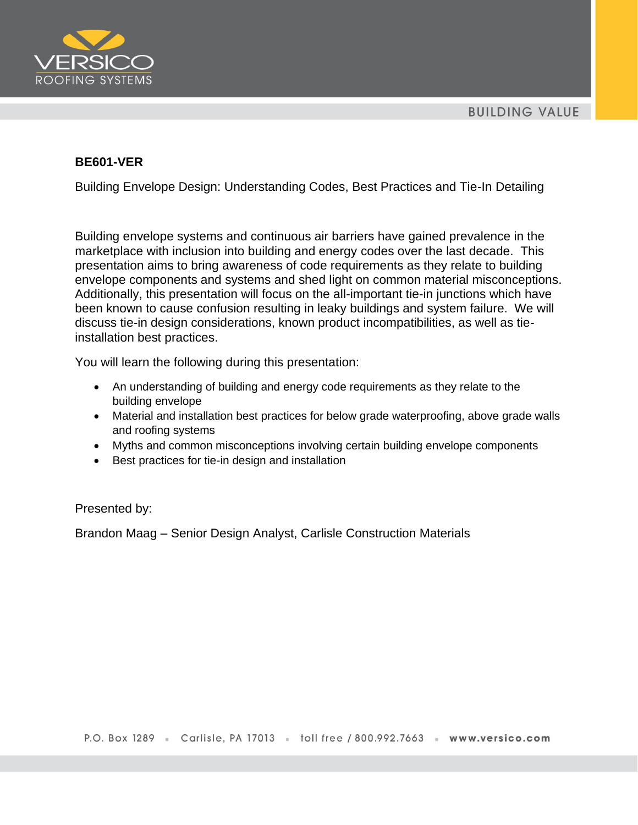

## **BE601-VER**

Building Envelope Design: Understanding Codes, Best Practices and Tie-In Detailing

Building envelope systems and continuous air barriers have gained prevalence in the marketplace with inclusion into building and energy codes over the last decade. This presentation aims to bring awareness of code requirements as they relate to building envelope components and systems and shed light on common material misconceptions. Additionally, this presentation will focus on the all-important tie-in junctions which have been known to cause confusion resulting in leaky buildings and system failure. We will discuss tie-in design considerations, known product incompatibilities, as well as tieinstallation best practices.

You will learn the following during this presentation:

- An understanding of building and energy code requirements as they relate to the building envelope
- Material and installation best practices for below grade waterproofing, above grade walls and roofing systems
- Myths and common misconceptions involving certain building envelope components
- Best practices for tie-in design and installation

Presented by:

Brandon Maag – Senior Design Analyst, Carlisle Construction Materials